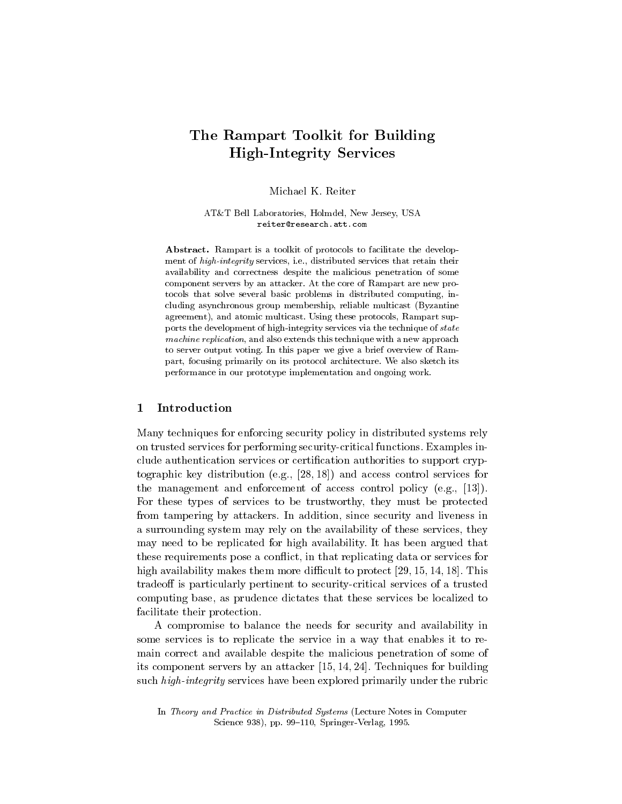# The Rampart Toolkit for Building HighIntegrity Services

AT&T Bell Laboratories, Holmdel, New Jersey, USA reiter@research.att.com

Abstract. Rampart is a toolkit of protocols to facilitate the development of high integrity services, i.e., distributed services that retain their availability and correctness despite the malicious penetration of some component servers by an attacker At the core of Rampart are new protocols that solve several basic problems in distributed computing, including asynchronous group membership, reliable multicast (Byzantine agreement), and atomic multicast. Using these protocols, Rampart supports the development of high-distribution via the technique of states via the technique of states via the tech machine replication, and also extends this technique with a new approach to server output voting. In this paper we give a brief overview of Rampart, focusing primarily on its protocol architecture. We also sketch its performance in our prototype implementation and ongoing work

## Introduction

Many techniques for enforcing security policy in distributed systems rely on trusted services for performing security-critical functions. Examples include authentication services or certi-cation authorities to support cryp to the control services control services for  $\mathbf{a}$  and access control services for  $\mathbf{a}$ the management and enforcement of access control policy (e.g.,  $[13]$ ). For these types of services to be trustworthy, they must be protected from tampering by attackers. In addition, since security and liveness in a surrounding system may rely on the availability of these services, they may need to be replicated for high availability. It has been argued that these requirements pose a conflict, in that replicating data or services for high availability makes them more difficult to protect  $[29, 15, 14, 18]$ . This tradeoff is particularly pertinent to security-critical services of a trusted computing base, as prudence dictates that these services be localized to facilitate their protection

A compromise to balance the needs for security and availability in some services is to replicate the service in a way that enables it to re main correct and available despite the malicious penetration of some of its component servers by an attacker  $[15, 14, 24]$ . Techniques for building such high-integrity services have been explored primarily under the rubric

In Theory and Practice in Distributed Systems (Lecture Notes in Computer springer- verlag in the springer- and the springer- of the springer- of the springer- of the springer- of the s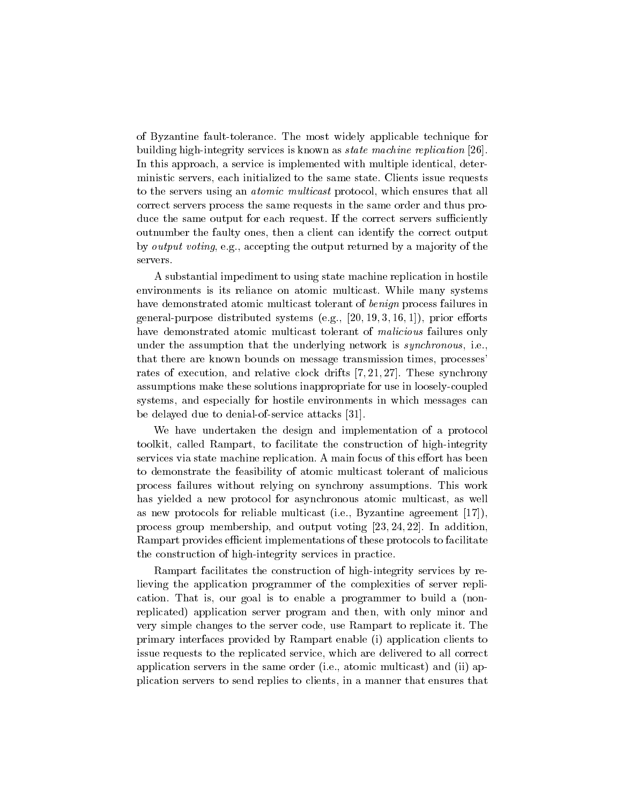of Byzantine fault-tolerance. The most widely applicable technique for building high-integrity services is known as *state machine replication* [26]. In this approach, a service is implemented with multiple identical, deterministic servers, each initialized to the same state. Clients issue requests to the servers using an *atomic multicast* protocol, which ensures that all correct servers process the same requests in the same order and thus pro duce the same output for each request. If the correct servers sufficiently outnumber the faulty ones then a client can identify the correct output by *output voting*, e.g., accepting the output returned by a majority of the servers.

A substantial impediment to using state machine replication in hostile environments is its reliance on atomic multicast. While many systems have demonstrated atomic multicast tolerant of benign process failures in  $\alpha$  -prior burpose distribution systems equal prior external prior functions and  $\alpha$ have demonstrated atomic multicast tolerant of malicious failures only under the assumption that the underlying network is *synchronous*, i.e. that there are known bounds on message transmission times, processes rates of execution, and relative clock drifts  $[7, 21, 27]$ . These synchrony assumptions make these solutions inappropriate for use in loosely-coupled systems, and especially for hostile environments in which messages can be delayed due to denial-of-service attacks  $[31]$ .

We have undertaken the design and implementation of a protocol toolkit, called Rampart, to facilitate the construction of high-integrity services via state machine replication. A main focus of this effort has been to demonstrate the feasibility of atomic multicast tolerant of malicious process failures without relying on synchrony assumptions This work has yielded a new protocol for asynchronous atomic multicast, as well as new protocols for reliable multicast (i.e., Byzantine agreement  $[17]$ ), process group membership, and output voting  $[23, 24, 22]$ . In addition. Rampart provides efficient implementations of these protocols to facilitate the construction of high-integrity services in practice.

Rampart facilitates the construction of high-integrity services by relieving the application programmer of the complexities of server repli cation. That is, our goal is to enable a programmer to build a (nonreplicated application server program and then with only minor and very simple changes to the server code, use Rampart to replicate it. The primary interfaces provided by Rampart enable in the provided by Primary enable in the context of the context of issue requests to the replicated service, which are delivered to all correct application servers in the same order ie atomic multicast and ii ap plication servers to send replies to clients in a manner that ensures that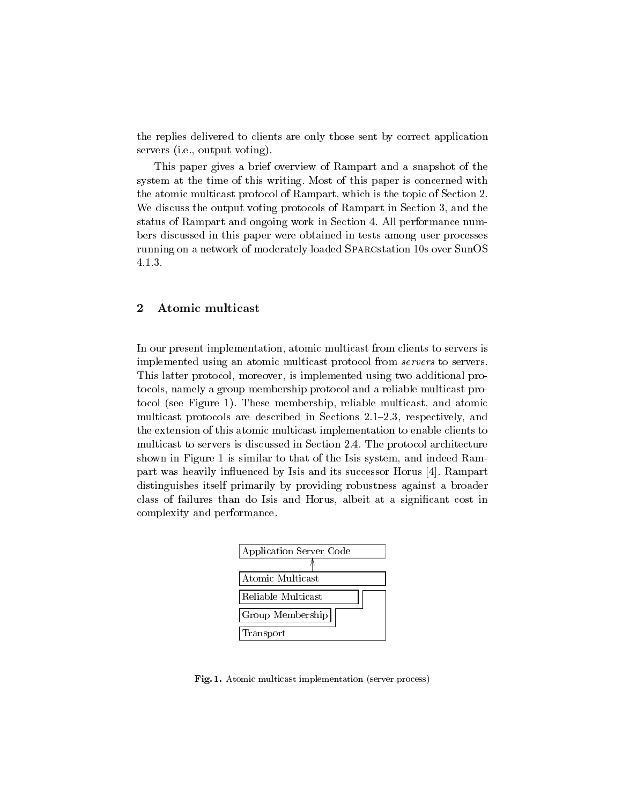the replies delivered to clients are only those sent by correct application servers ie output voten and i

This paper gives a brief overview of Rampart and a snapshot of the system at the time of this writing. Most of this paper is concerned with the atomic multicast protocol of Rampart, which is the topic of Section 2. We discuss the output voting protocols of Rampart in Section 3, and the status of Rampart and ongoing work in Section 4. All performance numbers discussed in this paper were obtained in tests among user processes running on a network of moderately loaded SPARCstation 10s over SunOS  $4.1.3.$ 

#### $\overline{2}$ Atomic multicast

In our present implementation, atomic multicast from clients to servers is implemented using an atomic multicast protocol from *servers* to servers. This latter protocol, moreover, is implemented using two additional protocols, namely a group membership protocol and a reliable multicast proto the first  $\equiv$  -quest  $\equiv$  ,  $\equiv$  -multicast and atomic multicast and atomic multicast and atomic multicast multicast protocols are described in Sections  $2.1-2.3$ , respectively, and the extension of this atomic multicast implementation to enable clients to multicast to servers is discussed in Section 2.4. The protocol architecture shown in Figure 1 is similar to that of the Isis system, and indeed Rampart was heavily influenced by Isis and its successor Horus [4]. Rampart distinguishes itself primarily by providing robustness against a broader class of failures than do Isis and Horus albeit at a signi-cant cost in complexity and performance



Fig. 1. Atomic multicast implementation (server process)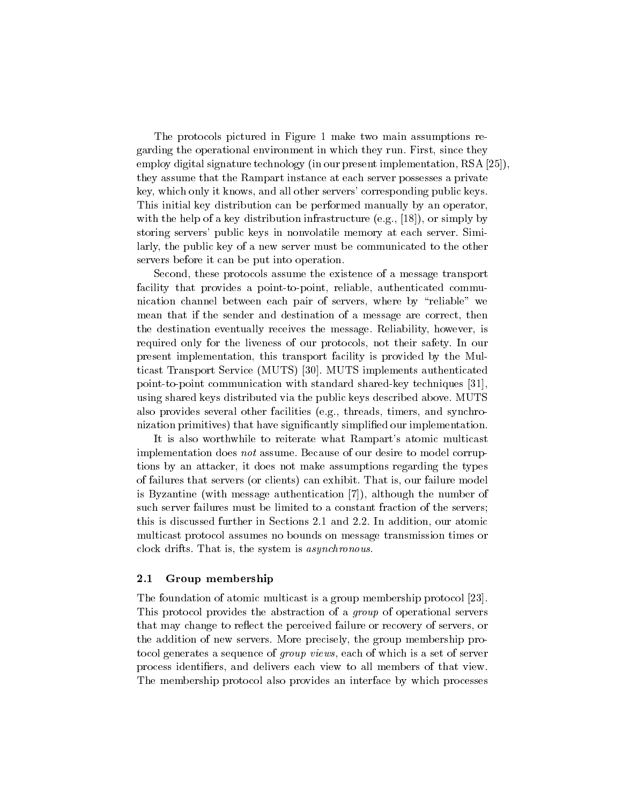The protocols pictured in Figure 1 make two main assumptions regarding the operational environment in which they run. First, since they employ digital signature technology (in our present implementation, RSA  $[25]$ ), they assume that the Rampart instance at each server possesses a private key, which only it knows, and all other servers' corresponding public keys. This initial key distribution can be performed manually by an operator with the help of a key distribution infrastructure equation in  $\mathbf{r}$  and  $\mathbf{r}$  are simply by  $\mathbf{r}$ storing servers' public keys in nonvolatile memory at each server. Similarly, the public key of a new server must be communicated to the other servers before it can be put into operation

Second, these protocols assume the existence of a message transport facility that provides a point-to-point, reliable, authenticated communication channel between each pair of servers, where by "reliable" we mean that if the sender and destination of a message are correct, then the destination eventually receives the message. Reliability, however, is required only for the liveness of our protocols, not their safety. In our present implementation, this transport facility is provided by the Multicast Transport Service Muts implements and the Muts implements and the Service Muts in the Service Muts in t point-to-point communication with standard shared-key techniques  $[31]$ , using shared keys distributed via the public keys described above MUTS also provides several other facilities (e.g., threads, timers, and synchronization primitives that have signi-cantly simpli-ed our implementation

It is also worthwhile to reiterate what Rampart's atomic multicast implementation does not assume. Because of our desire to model corruptions by an attacker, it does not make assumptions regarding the types of failures that servers (se clients) can exhibit That is our failure model is our failure is Byzantine with message authentication  $\mathbf{A}$ such server failures must be limited to a constant fraction of the servers; this is discussed further in Sections 2.1 and 2.2. In addition, our atomic multicast protocol assumes no bounds on message transmission times or clock drifts. That is, the system is *asynchronous*.

#### $2.1$ Group membership

The foundation of atomic multicast is a group membership protocol [23]. This protocol provides the abstraction of a group of operational servers that may change to reflect the perceived failure or recovery of servers, or the addition of new servers. More precisely, the group membership protocol generates a sequence of *group views*, each of which is a set of server process identi-ers and delivers each view to allmembers of that view The membership protocol also provides an interface by which processes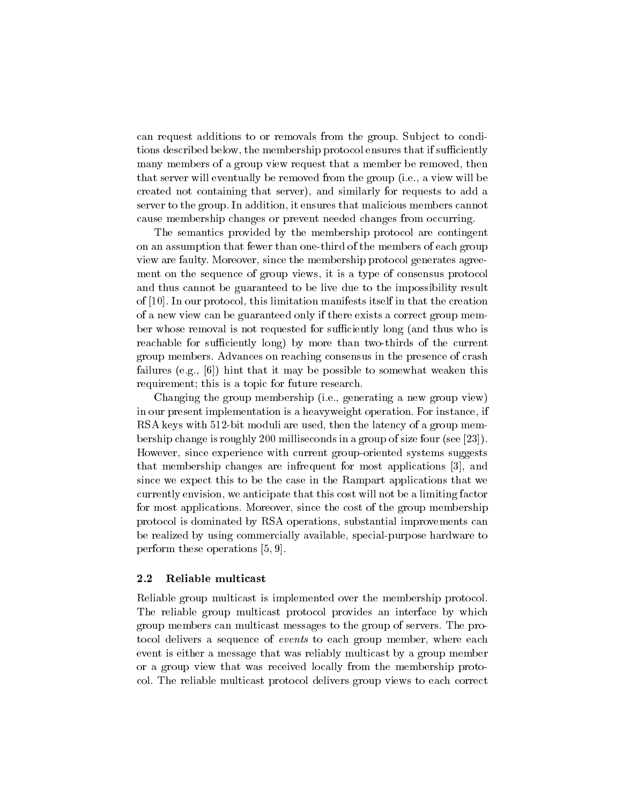can request additions to or removals from the group. Subject to conditions described below, the membership protocol ensures that if sufficiently many members of a group view request that a member be removed, then that server will eventually be removed from the group (i.e., a view will be created not containing that server and similarly for requests to add a server to the group. In addition, it ensures that malicious members cannot cause membership changes or prevent needed changes from occurring

The semantics provided by the membership protocol are contingent on an assumption that fewer than one-third of the members of each group view are faulty. Moreover, since the membership protocol generates agreement on the sequence of group views it is a type of consensus protocol and thus cannot be guaranteed to be live due to the impossibility result of  $[10]$ . In our protocol, this limitation manifests itself in that the creation of a new view can be guaranteed only if there exists a correct group mem ber whose removal is not requested for sufficiently long (and thus who is reachable for su
ciently long by more than twothirds of the current group members Advances on reaching consensus in the presence of crash failures ego and it may be possible to some weaken the to some weaken the some some to some who weaken the some requirement; this is a topic for future research.

Changing the group membership (i.e., generating a new group view) in our present implementation is a heavyweight operation. For instance, if RSA keys with 512-bit moduli are used, then the latency of a group membership change is roughly 200 milliseconds in a group of size four (see [23]). However, since experience with current group-oriented systems suggests that membership changes are infrequent for most applications  $[3]$ , and since we expect this to be the case in the Rampart applications that we currently envision, we anticipate that this cost will not be a limiting factor for most applications. Moreover, since the cost of the group membership protocol is dominated by RSA operations, substantial improvements can be realized by using commercially available, special-purpose hardware to perform these operations [5, 9].

#### 2.2 Reliable multicast

Reliable group multicast is implemented over the membership protocol The reliable group multicast protocol provides an interface by which group members can multicast messages to the group of servers The pro tocol delivers a sequence of *events* to each group member, where each event is either a message that was reliably multicast by a group member or a group view that was received locally from the membership proto col The reliable multicast protocol delivers group views to each correct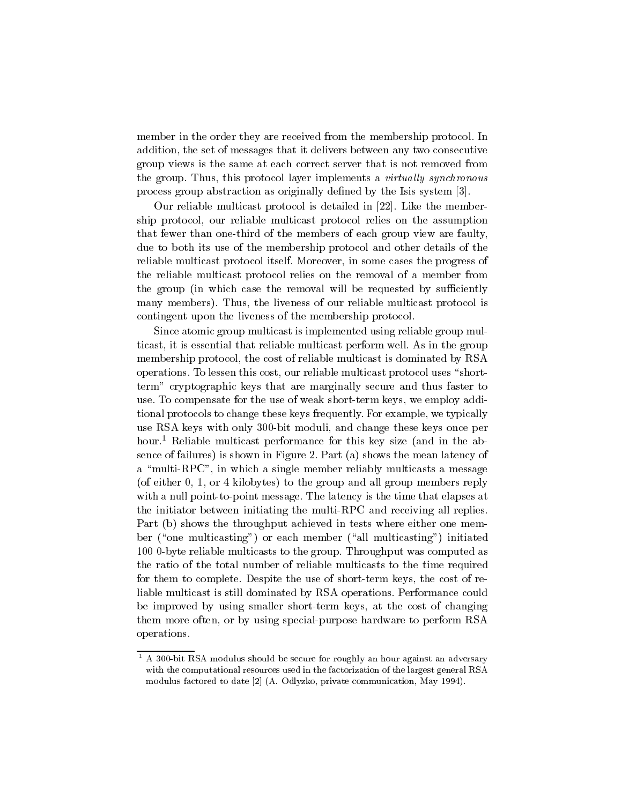member in the order they are received from the membership protocol. In addition, the set of messages that it delivers between any two consecutive group views is the same at each correct server that is not removed from the group. Thus, this protocol layer implements a *virtually synchronous* process group abstraction as originally de-ned by the Isis system 

Our reliable multicast protocol is detailed in  $[22]$ . Like the membership protocol, our reliable multicast protocol relies on the assumption that fewer than one-third of the members of each group view are faulty, due to both its use of the membership protocol and other details of the reliable multicast protocol itself. Moreover, in some cases the progress of the reliable multicast protocol relies on the removal of a member from the group (in which case the removal will be requested by sufficiently many members in liveness of our reliable multicast protocol is protocol in the multiple multiple multiple mult contingent upon the liveness of the membership protocol

Since atomic group multicast is implemented using reliable group mul ticast, it is essential that reliable multicast perform well. As in the group membership protocol, the cost of reliable multicast is dominated by RSA operations. To lessen this cost, our reliable multicast protocol uses "shortterm" cryptographic keys that are marginally secure and thus faster to use. To compensate for the use of weak short-term keys, we employ additional protocols to change these keys frequently. For example, we typically use RSA keys with only 300-bit moduli, and change these keys once per hour.<sup>1</sup> Reliable multicast performance for this key size (and in the absence of failures in Figure 1. The mean latency of the mean latency of the mean latency of the mean latency of a "multi-RPC", in which a single member reliably multicasts a message is to the group and all groups reply to the group members reply members reply to the group  $\mathcal{S}$ with a null point-to-point message. The latency is the time that elapses at the initiator between initiating the multi-RPC and receiving all replies. Part b shows the throughput achieved in tests where either one mem ber one multicasting or each member all multicasting initiated 100 0-byte reliable multicasts to the group. Throughput was computed as the ratio of the total number of reliable multicasts to the time required for them to complete. Despite the use of short-term keys, the cost of reliable multicast is still dominated by RSA operations. Performance could be improved by using smaller short-term keys, at the cost of changing them more often, or by using special-purpose hardware to perform RSA operations

A 300-bit RSA modulus should be secure for roughly an hour against an adversary with the computational resources used in the factorization of the largest general RSA modulus factored to date 
 A Odlyzko private communication May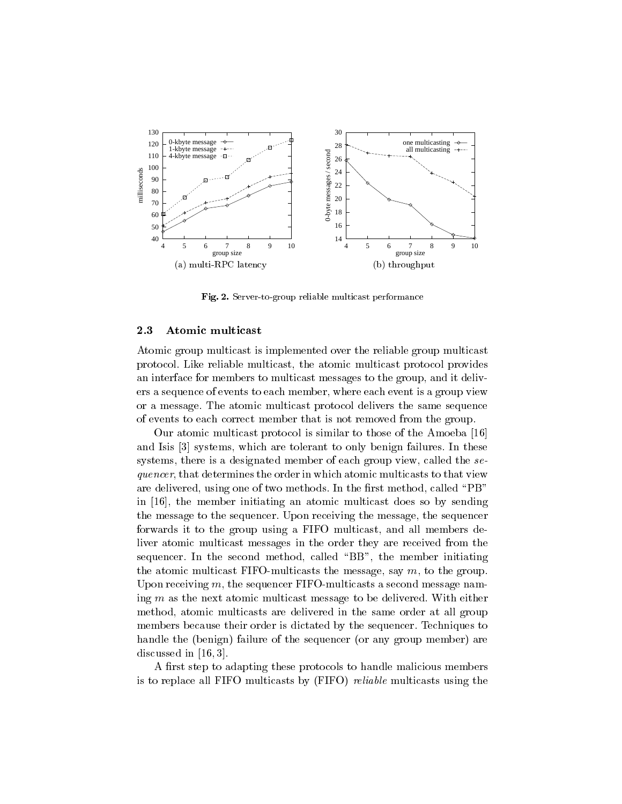

Fig - Server-to-group reliable multicast performance

#### Atomic multicast

Atomic group multicast is implemented over the reliable group multicast protocol Like reliable multicast the atomic multicast protocol provides an interface for members to multicast messages to the group and it deliv ers a sequence of events to each member, where each event is a group view or a message The atomic multicast protocol delivers the same sequence of events to each correct member that is not removed from the group

Our atomic multicast protocol is similar to those of the Amoeba and Isis [3] systems, which are tolerant to only benign failures. In these systems, there is a designated member of each group view, called the  $se$ quencer, that determines the order in which atomic multicasts to that view are delivered using one of two methods In the -  $\alpha$ in  $[16]$ , the member initiating an atomic multicast does so by sending the message to the sequencer. Upon receiving the message, the sequencer forwards it to the group using a FIFO multicast, and all members deliver atomic multicast messages in the order they are received from the sequencer. In the second method, called "BB", the member initiating the atomic multicast FIFO-multicasts the message, say  $m$ , to the group. Upon receiving  $m$ , the sequencer FIFO-multicasts a second message naming  $m$  as the next atomic multicast message to be delivered. With either method, atomic multicasts are delivered in the same order at all group members because their order is dictated by the sequencer. Techniques to handle the benign failure of the sequencer or any group member are discussed in  $[16, 3]$ .

A -rst step to adapting these protocols to handle malicious members is to replace all FIFO multicasts by FIFO provided multicasts and the multiples of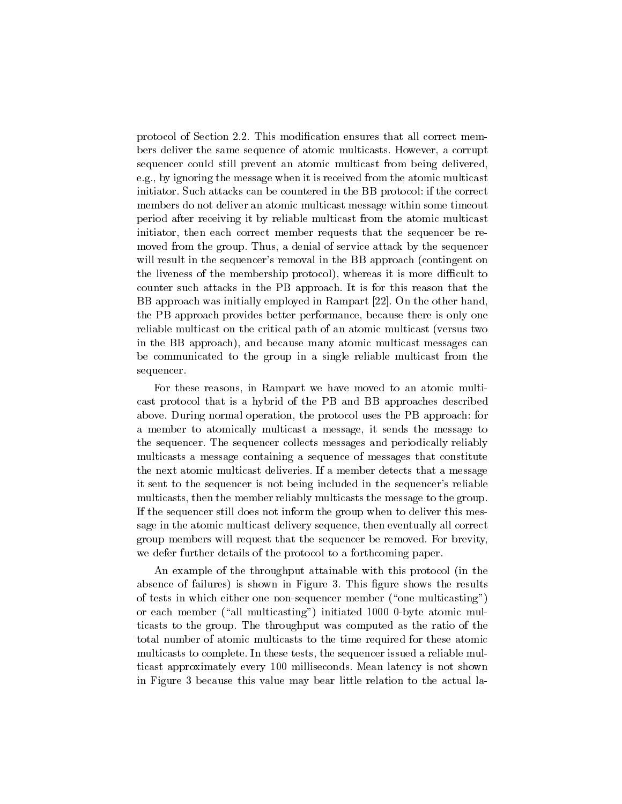protocol of Section This modi-cation ensures that all correct mem bers deliver the same sequence of atomic multicasts. However, a corrupt sequencer could still prevent an atomic multicast from being delivered e.g., by ignoring the message when it is received from the atomic multicast initiator. Such attacks can be countered in the BB protocol: if the correct members do not deliver an atomic multicast message within some timeout period after receiving it by reliable multicast from the atomic multicast initiator, then each correct member requests that the sequencer be removed from the group. Thus, a denial of service attack by the sequencer will result in the sequencer's removal in the BB approach (contingent on the liveness of the membership protocol, whereas it is more discussed it is more different to counter such attacks in the PB approach It is for this reason that the BB approach was initially employed in Rampart [22]. On the other hand, the PB approach provides better performance, because there is only one reliable multicast on the critical path of an atomic multicast (versus two in the BB approach, which are the multicast multicast messages can be complete the complete can be complete the be communicated to the group in a single reliable multicast from the sequencer

For these reasons in Rampart we have moved to an atomic multi cast protocol that is a hybrid of the PB and BB approaches described above. During normal operation, the protocol uses the PB approach: for <sup>a</sup> member to atomically multicast <sup>a</sup> message it sends the message to the sequencer The sequencer collects messages and periodically reliably multicasts a message containing a sequence of messages that constitute the next atomic multicast deliveries If a member detects that a message it sent to the sequencer is not being included in the sequencer's reliable multicasts, then the member reliably multicasts the message to the group. If the sequencer still does not inform the group when to deliver this mes sage in the atomic multicast delivery sequence, then eventually all correct group members will request that the sequencer be removed. For brevity, we defer further details of the protocol to a forthcoming paper

An example of the throughput attainable with this protocol (in the absence of failures  $\mathbf{f}$  failures the results  $\mathbf{f}$  failures the results  $\mathbf{f}$ of tests in which either one non-sequencer member ("one multicasting") or each member all multicasting  $\mathbf{a}$  atomic multicasting  $\mathbf{a}$ ticasts to the group. The throughput was computed as the ratio of the total number of atomic multicasts to the time required for these atomic multicasts to complete. In these tests, the sequencer issued a reliable multicast approximately every 100 milliseconds. Mean latency is not shown in Figure 3 because this value may bear little relation to the actual la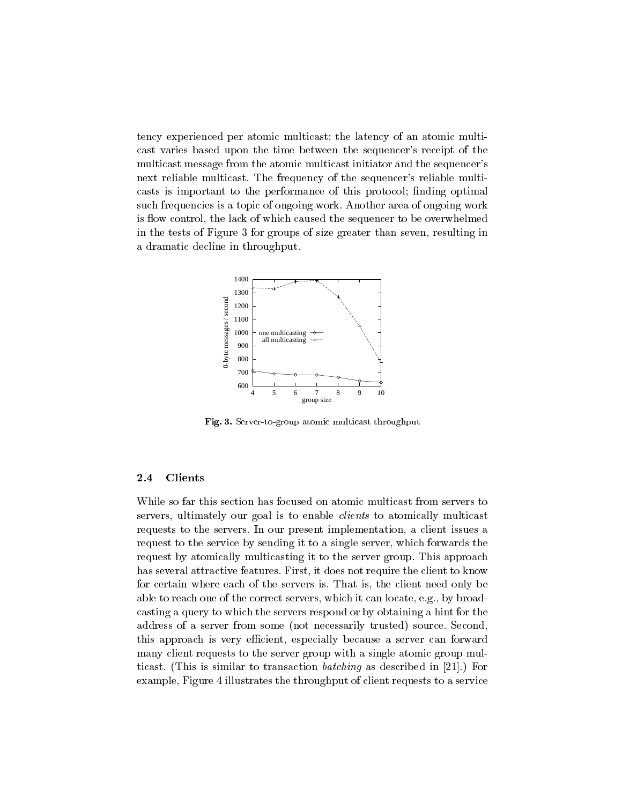tency experienced per atomic multicast: the latency of an atomic multicast varies based upon the time between the sequencer's receipt of the multicast message from the atomic multicast initiator and the sequencer's next reliable multicast. The frequency of the sequencer's reliable multicasts is important to the performance of this performance of this protocol - performance of this protocol - per such frequencies is a topic of ongoing work Another area of ongoing work is flow control, the lack of which caused the sequencer to be overwhelmed in the tests of Figure 3 for groups of size greater than seven, resulting in a dramatic decline in throughput



Fig Server-to-group atomic multicast throughput

#### 2.4 Clients

While so far this section has focused on atomic multicast from servers to servers, ultimately our goal is to enable *clients* to atomically multicast requests to the servers. In our present implementation, a client issues a request to the service by sending it to a single server, which forwards the request by atomically multicasting it to the server group. This approach has several attractive features. First, it does not require the client to know for certain where each of the servers is That is the client need only be able to reach one of the correct servers, which it can locate, e.g., by broadcasting a query to which the servers respond or by obtaining a hint for the address of a server from some not necessarily trusted, so when  $\sim$  source  $\sim$ this approach is very efficient, especially because a server can forward many client requests to the server group with a single atomic group mul ticast  $\mathcal{L}_1$  is similar to transaction batching in  $\mathcal{L}_2$  , as described in  $\mathcal{L}_3$  in  $\mathcal{L}_4$ example, Figure 4 illustrates the throughput of client requests to a service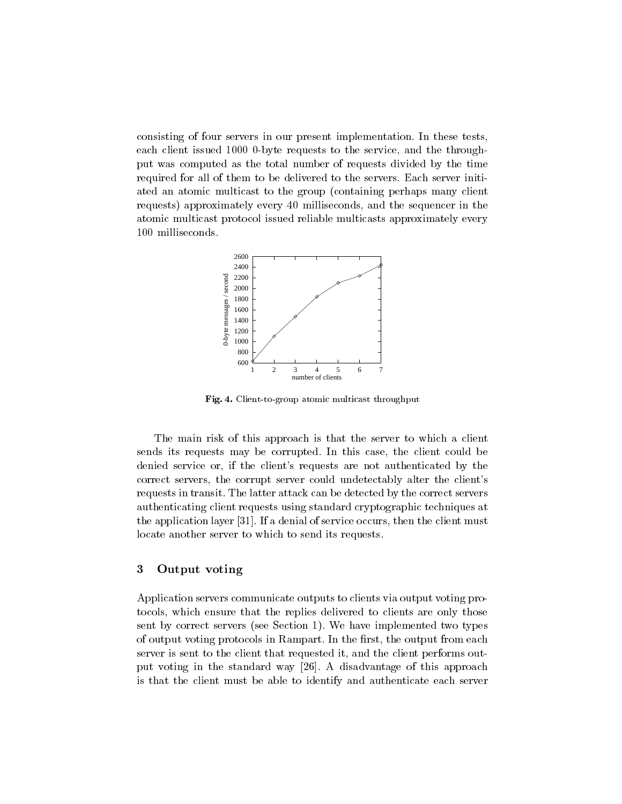consisting of four servers in our present implementation In these tests each client issued 1000 0-byte requests to the service, and the throughput was computed as the total number of requests divided by the time required for all of them to be delivered to the servers. Each server initiated an atomic multicast to the group (containing perhaps many client requesting replacements in the sequence in the sequence in the sequence in the sequence in the sequence in the atomic multicast protocol issued reliable multicasts approximately every 100 milliseconds.



Fig Client-to-group atomic multicast throughput

The main risk of this approach is that the server to which a client sends its requests may be corrupted. In this case, the client could be denied service or, if the client's requests are not authenticated by the correct servers, the corrupt server could undetectably alter the client's requests in transit. The latter attack can be detected by the correct servers authenticating client requests using standard cryptographic techniques at the application layer  $[31]$ . If a denial of service occurs, then the client must locate another server to which to send its requests

#### -Output voting

Application servers communicate outputs to clients via output voting pro tocols, which ensure that the replies delivered to clients are only those sent by correct servers see Section and the matter servers section that the section of output voting protocols in Rampart In the each output from each  $\sim$ server is sent to the client that requested it, and the client performs output voting in the standard way  $[26]$ . A disadvantage of this approach is that the client must be able to identify and authenticate each server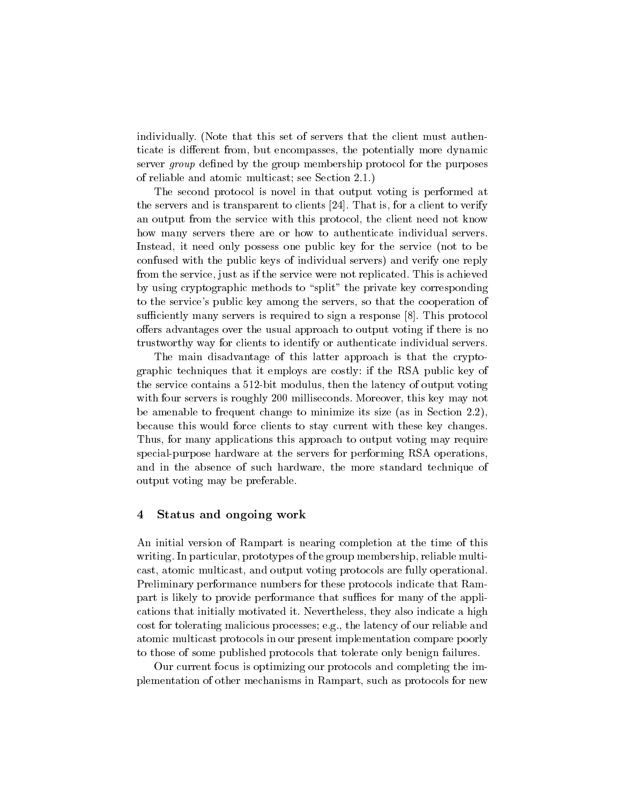individually. (Note that this set of servers that the client must authenticate is different from, but encompasses, the potentially more dynamic server group de-ned by the group membership protocol for the purposes of reliable and atomic multicast; see Section  $2.1$ .)

The second protocol is novel in that output voting is performed at the servers and is transparent to clients  $[24]$ . That is, for a client to verify an output from the service with this protocol, the client need not know how many servers there are or how to authenticate individual servers Instead, it need only possess one public key for the service (not to be confused with the public keys of individual servers  $\alpha$  in the servers  $\alpha$  and  $\alpha$ from the service, just as if the service were not replicated. This is achieved by using cryptographic methods to "split" the private key corresponding to the service's public key among the servers, so that the cooperation of sufficiently many servers is required to sign a response  $\lbrack 8 \rbrack$ . This protocol offers advantages over the usual approach to output voting if there is no trustworthy way for clients to identify or authenticate individual servers

The main disadvantage of this latter approach is that the crypto graphic techniques that it employs are costly if the RSA public key of the service contains a 512-bit modulus, then the latency of output voting with four servers is roughly 200 milliseconds. Moreover, this key may not be amenable to frequent change to minimize its size (as in Section  $2.2$ ). because this would force clients to stay current with these key changes Thus for many applications this approach to output voting may require special-purpose hardware at the servers for performing RSA operations, and in the absence of such hardware, the more standard technique of output voting may be preferable

### Status and ongoing work

An initial version of Rampart is nearing completion at the time of this writing. In particular, prototypes of the group membership, reliable multicast, atomic multicast, and output voting protocols are fully operational. Preliminary performance numbers for these protocols indicate that Ram part is likely to provide performance that suffices for many of the applications that initially motivated it. Nevertheless, they also indicate a high cost for tolerating malicious processes; e.g., the latency of our reliable and atomic multicast protocols in our present implementation compare poorly to those of some published protocols that tolerate only benign failures

Our current focus is optimizing our protocols and completing the im plementation of other mechanisms in Rampart, such as protocols for new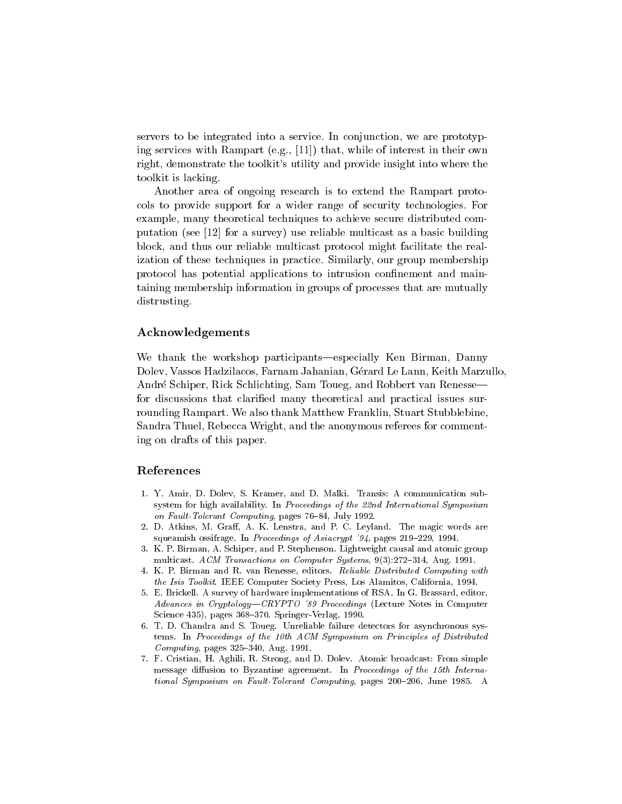servers to be integrated into a service. In conjunction, we are prototyping services with Rampart eggs in the most interest in the control interest in the control of interest in the right, demonstrate the toolkit's utility and provide insight into where the toolkit is lacking

Another area of ongoing research is to extend the Rampart proto cols to provide support for a wider range of security technologies For example, many theoretical techniques to achieve secure distributed computation see a survey of a survey of a survey of a basic building  $\mathcal{M}$ block and thus our reliable multicast protocol might facilitate the real ization of these techniques in practice Similarly our group membership protocol has potential applications to intrusion con-nement and main taining membership information in groups of processes that are mutually distrusting.

### Acknowledgements

We thank the workshop participants—especially Ken Birman, Danny Dolev, Vassos Hadzilacos, Farnam Jahanian, Gérard Le Lann, Keith Marzullo, André Schiper, Rick Schlichting, Sam Toueg, and Robbert van Renesse for discussions that clari-ed many theoretical and practical issues sur rounding Rampart. We also thank Matthew Franklin, Stuart Stubblebine, Sandra Thuel, Rebecca Wright, and the anonymous referees for commenting on drafts of this paper

### References

- Y A CHAMP D D DOLEY S A COMMUNICATION SUB-DIMAGNATION SUB-DIMAGNATION SUB-DIMAGNATION SUBsystem for high availability. In Proceedings of the 22nd International Symposium  $\mathbf{F}$  and  $\mathbf{F}$  and  $\mathbf{F}$  and  $\mathbf{F}$  and  $\mathbf{F}$  and  $\mathbf{F}$  and  $\mathbf{F}$  and  $\mathbf{F}$  and  $\mathbf{F}$  and  $\mathbf{F}$  and  $\mathbf{F}$  and  $\mathbf{F}$  and  $\mathbf{F}$  and  $\mathbf{F}$  and  $\mathbf{F}$  and  $\mathbf{F}$  and  $\mathbf{F}$  and
- 2. D. Atkins, M. Graff, A. K. Lenstra, and P. C. Leyland. The magic words are squeemissimes in the pages of asiacryptic possible pages of properties of  $\sim$  2007 and 2007 and 2007 and 2007
- 3. K. P. Birman, A. Schiper, and P. Stephenson. Lightweight causal and atomic group multicast activities of the system of Computer Systems of Algebra and Computer Systems of the System of the System of the System of the System of the System of the System of the System of the System of the System of the Sy
- 4. K. P. Birman and R. van Renesse, editors. Reliable Distributed Computing with the Isis Toolkit IEEE Computer Society Press Los Alamitos California California  $P$
- 5. E. Brickell. A survey of hardware implementations of RSA. In G. Brassard, editor, Advances in CryptologyCRYPTO - Proceedings Lecture Notes in Computer s se start and start start was and the start of the second second second to the second second second second se
- 6. T. D. Chandra and S. Toueg. Unreliable failure detectors for asynchronous systems. In Proceedings of the 10th ACM Symposium on Principles of Distributed  $\blacksquare$  . The particle pages of  $\blacksquare$  and  $\blacksquare$  and  $\blacksquare$  and  $\blacksquare$  and  $\blacksquare$
- 7. F. Cristian, H. Aghili, R. Strong, and D. Dolev. Atomic broadcast: From simple message diffusion to Byzantine agreement. In Proceedings of the 15th International Symposium on  $\mathcal{S}$  and  $\mathcal{S}$  are computing parameters of  $\mathcal{S}$  and  $\mathcal{S}$  are computing parameters of  $\mathcal{S}$  and  $\mathcal{S}$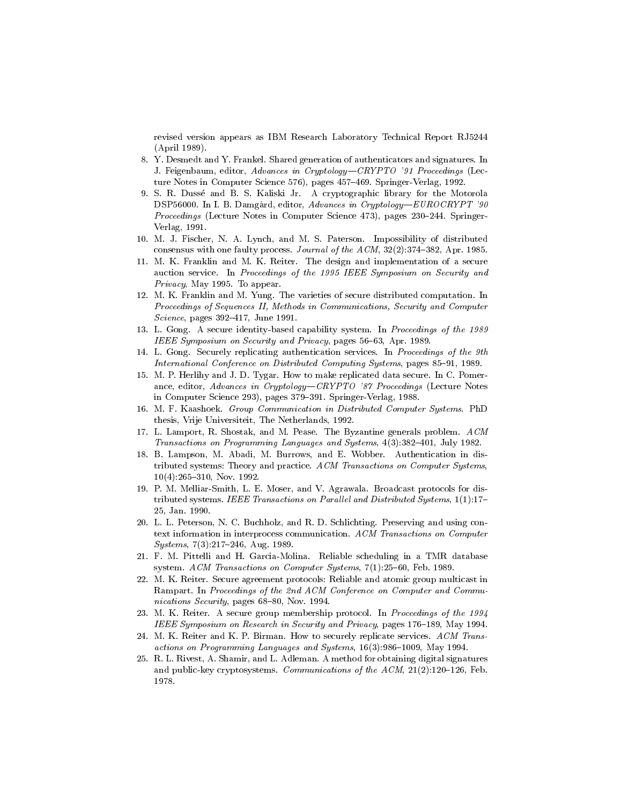revised version appears as IBM Research Laboratory Technical Report RJ  $\lambda$  -  $\mu$  -  $\lambda$  -  $\mu$  -  $\lambda$  -  $\mu$  -  $\lambda$ 

- Y Desmedt and Y Frankel Shared generation of authenticators and signatures In J Feigenbaum editor Advances in CryptologyCRYPTO - Proceedings Lecture statistically statistically in the set of the springer-computer of the set of the set of the set of the s
- 9. S. R. Dussé and B. S. Kaliski Jr. A cryptographic library for the Motorola , and in a discussion of the Damagard editor in Cryptology (Europe Cryptology ) - The Cryptology of the Cryptology of the Cryptology of the Cryptology of the Cryptology of the Cryptology (Cryptology of the Cryptology of th Proceedings (Lecture Notes in Computer Science 473), pages 230-244. Springer- $\mathcal{V}$  and  $\mathcal{V}$  are the set of  $\mathcal{V}$  and  $\mathcal{V}$  are the set of  $\mathcal{V}$  and  $\mathcal{V}$  are the set of  $\mathcal{V}$
- M J Fischer N A Lynch and M S Paterson Impossibility of distributed consensus with one fault process Journal of the ACM  $\sim$  100  $\mu$  and  $\sim$  100  $\mu$  and  $\sim$  100  $\mu$
- m K Frankling and M K Reiter The design and implementation of a secure the secure auction service. In Proceedings of the 1995 IEEE Symposium on Security and reduced the contract of the contract of the contract of the contract of the contract of the contract of the con
- M K Franklin and M Yung The varieties of secure distributed computation In Proceedings of Sequences II Methods in Communications Security and Computer Science pages June
- L Gong A secure identity-based capability system In Proceedings of the IEEE Symposium on Security and Privacy pages  Apr
- L Gong Securely replicating authentication services In Proceedings of the th International Computing  $\mathcal{L} = \mathcal{L} = \mathcal{L} = \mathcal{L} = \mathcal{L} = \mathcal{L} = \mathcal{L} = \mathcal{L} = \mathcal{L} = \mathcal{L} = \mathcal{L} = \mathcal{L} = \mathcal{L} = \mathcal{L} = \mathcal{L} = \mathcal{L} = \mathcal{L} = \mathcal{L} = \mathcal{L} = \mathcal{L} = \mathcal{L} = \mathcal{L} = \mathcal{L} = \mathcal{L} = \mathcal{L} = \mathcal{L} = \mathcal{L} = \mathcal{L} =$
- $M$  . The proposition of  $M$ ance editor Advances in CryptologyCRYPTO - Proceedings Lecture Notes in Computer Science Birly pages for the springer-computer of the springer-
- $N = \frac{1}{2}$  and  $\frac{1}{2}$  computer Systems PhD in Distribution in Distribution in Distribution in Distribution in Distribution in Distribution in Distribution in Distribution in Distribution in Distribution in Distributio thesis vrije Universiteit The Netherlands International Section
- L Lamport R Shostak and M Pease The Byzantine generals problem ACM Transactions on Programming Languages and System  $H$  and System  $H$  and System  $H$  and System  $H$
- B Lampson M Abadi M Burrows and E Wobber Authentication in distributed systems: Theory and practice. ACM Transactions on Computer Systems,  Nov
- P M Melliar-Smith L E Moser and V Agrawala Broadcast protocols for distributed systems IEEE Transactions  $\mathcal{U} = \mathcal{U} \cup \mathcal{U}$  Jan
- 20. L. L. Peterson, N. C. Buchholz, and R. D. Schlichting. Preserving and using context information in interprocess communication ACM Transactions on Computer Systems Aug
- F M Pittelli and H Garcia-Molina Reliable scheduling in a TMR database  $\mathbb{R}^n$  . According to  $\mathbb{R}^n$  , and  $\mathbb{R}^n$  is the computer System system in  $\mathbb{R}^n$
- 22. M. K. Reiter. Secure agreement protocols: Reliable and atomic group multicast in Rampart. In Proceedings of the 2nd ACM Conference on Computer and Communications Security pages of the security pages of the security pages of the second pages of the second pages o
- 23. M. K. Reiter. A secure group membership protocol. In Proceedings of the 1994 IEEE Symposium on Research in Security and Privacy pages May
- 24. M. K. Reiter and K. P. Birman. How to securely replicate services. ACM Transactions on Programming Languages and Systems May
- 25. R. L. Rivest, A. Shamir, and L. Adleman. A method for obtaining digital signatures and public-key cryptosystems Communications of the ACM Feb